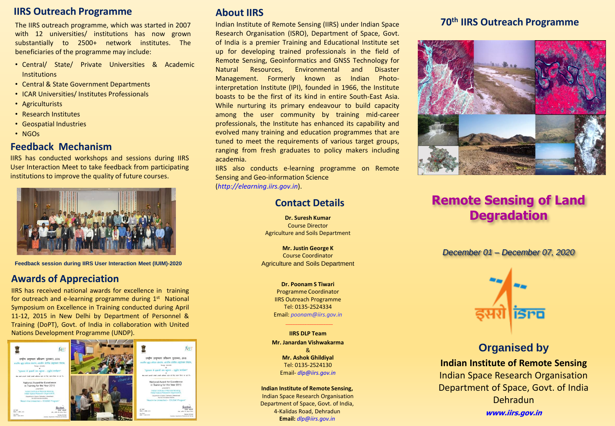# **IIRS Outreach Programme**

The IIRS outreach programme, which was started in 2007 with 12 universities/ institutions has now grown substantially to 2500+ network institutes. The beneficiaries of the programme may include:

- Central/ State/ Private Universities & Academic **Institutions**
- Central & State Government Departments
- ICAR Universities/ Institutes Professionals
- Agriculturists
- Research Institutes
- Geospatial Industries
- NGOs

# **Feedback Mechanism**

IIRS has conducted workshops and sessions during IIRS User Interaction Meet to take feedback from participating institutions to improve the quality of future courses.



**Feedback session during IIRS User Interaction Meet (IUIM)-2020**

# **Awards of Appreciation**

IIRS has received national awards for excellence in training for outreach and e-learning programme during 1st National Symposium on Excellence in Training conducted during April 11-12, 2015 in New Delhi by Department of Personnel & Training (DoPT), Govt. of India in collaboration with United Nations Development Programme (UNDP).



# **About IIRS**

Indian Institute of Remote Sensing (IIRS) under Indian Space Research Organisation (ISRO), Department of Space, Govt. of India is a premier Training and Educational Institute set up for developing trained professionals in the field of Remote Sensing, Geoinformatics and GNSS Technology for Natural Resources, Environmental and Disaster Management. Formerly known as Indian Photointerpretation Institute (IPI), founded in 1966, the Institute boasts to be the first of its kind in entire South-East Asia. While nurturing its primary endeavour to build capacity among the user community by training mid-career professionals, the Institute has enhanced its capability and evolved many training and education programmes that are tuned to meet the requirements of various target groups, ranging from fresh graduates to policy makers including academia.

IIRS also conducts e-learning programme on Remote Sensing and Geo-information Science (*http://elearning.iirs.gov.in*).

### **Contact Details**

**Dr. Suresh Kumar** Course Director Agriculture and Soils Department

**Mr. Justin George K** Course Coordinator Agriculture and Soils Department

> **Dr. Poonam S Tiwari** Programme Coordinator IIRS Outreach Programme Tel: 0135-2524334 Email: *poonam@iirs.gov.in*

> > \_\_\_\_\_\_\_\_\_\_\_\_\_\_\_\_\_\_\_\_

**IIRS DLP Team Mr. Janardan Vishwakarma** & **Mr. Ashok Ghildiyal** Tel: 0135-2524130 Email- *dlp@iirs.gov.in*

**Indian Institute of Remote Sensing,** Indian Space Research Organisation Department of Space, Govt. of India, 4-Kalidas Road, Dehradun **Email:** *dlp@iirs.gov.in*

# **70th IIRS Outreach Programme**



# **Remote Sensing of Land Degradation**

*December 01 – December 07, 2020*



# **Organised by Indian Institute of Remote Sensing** Indian Space Research Organisation Department of Space, Govt. of India Dehradun **www.iirs.gov.in**